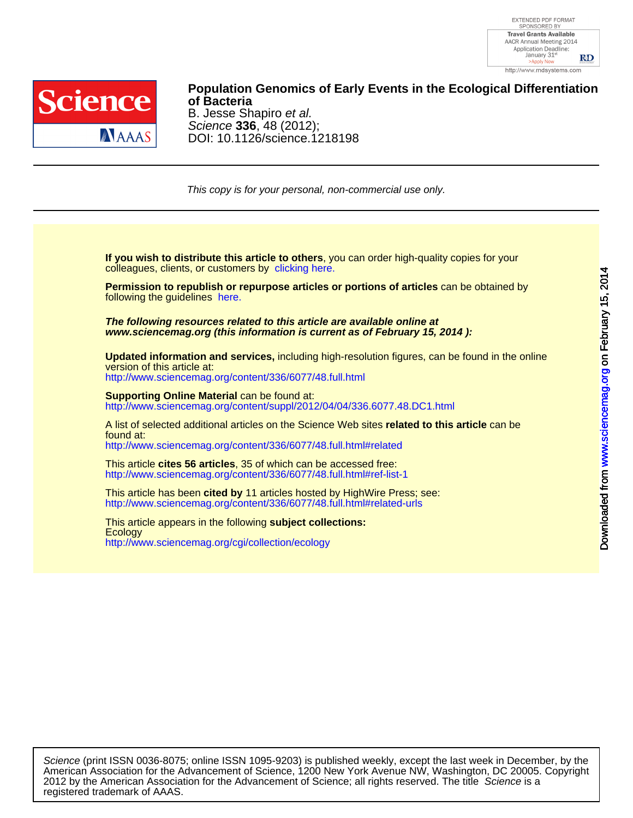



## [DOI: 10.112](http://www.sciencemag.org/)6/science.1218198 Science **336**, 48 (2012); B. [Jesse Shapiro](http://www.sciencemag.org/content/336/6077/48.full.html#ref-list-1) et al. **of Bacteria Population Genomics of Early Events in the Ecological Differentiation**

This copy is for your personal, non-commercial use only.

colleagues, clients, or customers by [clicking here.](http://www.sciencemag.org/about/permissions.dtl) **If you wish to distribute this article to others**, you can order high-quality copies for your

following the guidelines [here.](http://www.sciencemag.org/about/permissions.dtl) **Permission to republish or repurpose articles or portions of articles** can be obtained by

**www.sciencemag.org (this information is current as of February 15, 2014 ): The following resources related to this article are available online at**

version of this article at: **Updated information and services,** including high-resolution figures, can be found in the online

<http://www.sciencemag.org/content/336/6077/48.full.html>

[http://www.sciencemag.org/content/suppl/2012/04/04/336.6077.48.DC1.html](http://www.sciencemag.org/content/suppl/2012/04/04/336.6077.48.DC1.html )  **Supporting Online Material can be found at:** 

<http://www.sciencemag.org/content/336/6077/48.full.html#related> found at: A list of selected additional articles on the Science Web sites **related to this article** can be

<http://www.sciencemag.org/content/336/6077/48.full.html#ref-list-1> This article **cites 56 articles**, 35 of which can be accessed free:

<http://www.sciencemag.org/content/336/6077/48.full.html#related-urls> This article has been **cited by** 11 articles hosted by HighWire Press; see:

<http://www.sciencemag.org/cgi/collection/ecology> **Ecology** This article appears in the following **subject collections:**

registered trademark of AAAS. 2012 by the American Association for the Advancement of Science; all rights reserved. The title Science is a American Association for the Advancement of Science, 1200 New York Avenue NW, Washington, DC 20005. Copyright Science (print ISSN 0036-8075; online ISSN 1095-9203) is published weekly, except the last week in December, by the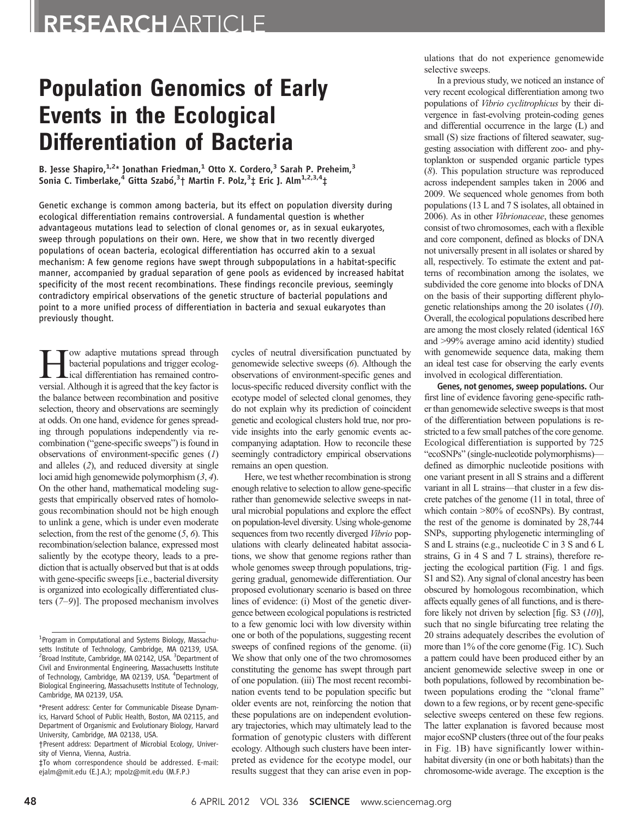# RESEARCH ARTICLE

# Population Genomics of Early Differentiation of Bacteria

B. Jesse Shapiro,<sup>1,2</sup>\* Jonathan Friedman,<sup>1</sup> Otto X. Cordero,<sup>3</sup> Sarah P. Preheim,<sup>3</sup> Sonia C. Timberlake, $^4$  Gitta Szabó, $^3{\dagger}$  Martin F. Polz, $^3{\ddagger}$  Eric J. Alm $^{1,2,3,4}{\ddagger}$ 

Genetic exchange is common among bacteria, but its effect on population diversity during ecological differentiation remains controversial. A fundamental question is whether advantageous mutations lead to selection of clonal genomes or, as in sexual eukaryotes, sweep through populations on their own. Here, we show that in two recently diverged populations of ocean bacteria, ecological differentiation has occurred akin to a sexual mechanism: A few genome regions have swept through subpopulations in a habitat-specific manner, accompanied by gradual separation of gene pools as evidenced by increased habitat specificity of the most recent recombinations. These findings reconcile previous, seemingly contradictory empirical observations of the genetic structure of bacterial populations and point to a more unified process of differentiation in bacteria and sexual eukaryotes than previously thought.

**How adaptive mutations spread through bacterial populations and trigger ecological differentiation has remained contro-**<br>versial Although it is agreed that the key factor is bacterial populations and trigger ecologversial. Although it is agreed that the key factor is the balance between recombination and positive selection, theory and observations are seemingly at odds. On one hand, evidence for genes spreading through populations independently via recombination ("gene-specific sweeps") is found in observations of environment-specific genes (1) and alleles (2), and reduced diversity at single loci amid high genomewide polymorphism (3, 4). On the other hand, mathematical modeling suggests that empirically observed rates of homologous recombination should not be high enough to unlink a gene, which is under even moderate selection, from the rest of the genome  $(5, 6)$ . This recombination/selection balance, expressed most saliently by the ecotype theory, leads to a prediction that is actually observed but that is at odds with gene-specific sweeps [i.e., bacterial diversity is organized into ecologically differentiated clusters (7–9)]. The proposed mechanism involves cycles of neutral diversification punctuated by genomewide selective sweeps (6). Although the observations of environment-specific genes and locus-specific reduced diversity conflict with the ecotype model of selected clonal genomes, they do not explain why its prediction of coincident genetic and ecological clusters hold true, nor provide insights into the early genomic events accompanying adaptation. How to reconcile these seemingly contradictory empirical observations remains an open question.

Here, we test whether recombination is strong enough relative to selection to allow gene-specific rather than genomewide selective sweeps in natural microbial populations and explore the effect on population-level diversity. Using whole-genome sequences from two recently diverged *Vibrio* populations with clearly delineated habitat associations, we show that genome regions rather than whole genomes sweep through populations, triggering gradual, genomewide differentiation. Our proposed evolutionary scenario is based on three lines of evidence: (i) Most of the genetic divergence between ecological populations is restricted to a few genomic loci with low diversity within one or both of the populations, suggesting recent sweeps of confined regions of the genome. (ii) We show that only one of the two chromosomes constituting the genome has swept through part of one population. (iii) The most recent recombination events tend to be population specific but older events are not, reinforcing the notion that these populations are on independent evolutionary trajectories, which may ultimately lead to the formation of genotypic clusters with different ecology. Although such clusters have been interpreted as evidence for the ecotype model, our results suggest that they can arise even in populations that do not experience genomewide selective sweeps.

In a previous study, we noticed an instance of very recent ecological differentiation among two populations of Vibrio cyclitrophicus by their divergence in fast-evolving protein-coding genes and differential occurrence in the large (L) and small (S) size fractions of filtered seawater, suggesting association with different zoo- and phytoplankton or suspended organic particle types (8). This population structure was reproduced across independent samples taken in 2006 and 2009. We sequenced whole genomes from both populations (13 L and 7 S isolates, all obtained in 2006). As in other Vibrionaceae, these genomes consist of two chromosomes, each with a flexible and core component, defined as blocks of DNA not universally present in all isolates or shared by all, respectively. To estimate the extent and patterns of recombination among the isolates, we subdivided the core genome into blocks of DNA on the basis of their supporting different phylogenetic relationships among the 20 isolates (10). Overall, the ecological populations described here are among the most closely related (identical 16S and >99% average amino acid identity) studied with genomewide sequence data, making them an ideal test case for observing the early events involved in ecological differentiation.

Genes, not genomes, sweep populations. Our first line of evidence favoring gene-specific rather than genomewide selective sweeps is that most of the differentiation between populations is restricted to a few small patches of the core genome. Ecological differentiation is supported by 725 "ecoSNPs" (single-nucleotide polymorphisms) defined as dimorphic nucleotide positions with one variant present in all S strains and a different variant in all L strains—that cluster in a few discrete patches of the genome (11 in total, three of which contain >80% of ecoSNPs). By contrast, the rest of the genome is dominated by 28,744 SNPs, supporting phylogenetic intermingling of S and L strains (e.g., nucleotide C in 3 S and 6 L strains, G in 4 S and 7 L strains), therefore rejecting the ecological partition (Fig. 1 and figs. S1 and S2). Any signal of clonal ancestry has been obscured by homologous recombination, which affects equally genes of all functions, and is therefore likely not driven by selection [fig. S3 (10)], such that no single bifurcating tree relating the 20 strains adequately describes the evolution of more than 1% of the core genome (Fig. 1C). Such a pattern could have been produced either by an ancient genomewide selective sweep in one or both populations, followed by recombination between populations eroding the "clonal frame" down to a few regions, or by recent gene-specific selective sweeps centered on these few regions. The latter explanation is favored because most major ecoSNP clusters (three out of the four peaks in Fig. 1B) have significantly lower withinhabitat diversity (in one or both habitats) than the chromosome-wide average. The exception is the

<sup>&</sup>lt;sup>1</sup> Program in Computational and Systems Biology, Massachusetts Institute of Technology, Cambridge, MA 02139, USA. <sup>2</sup> Broad Institute, Cambridge, MA 02142, USA. <sup>3</sup> Department of Civil and Environmental Engineering, Massachusetts Institute of Technology, Cambridge, MA 02139, USA. <sup>4</sup>Department of Biological Engineering, Massachusetts Institute of Technology, Cambridge, MA 02139, USA.

<sup>\*</sup>Present address: Center for Communicable Disease Dynamics, Harvard School of Public Health, Boston, MA 02115, and Department of Organismic and Evolutionary Biology, Harvard University, Cambridge, MA 02138, USA.

<sup>†</sup>Present address: Department of Microbial Ecology, University of Vienna, Vienna, Austria.

<sup>‡</sup>To whom correspondence should be addressed. E-mail: ejalm@mit.edu (E.J.A.); mpolz@mit.edu (M.F.P.)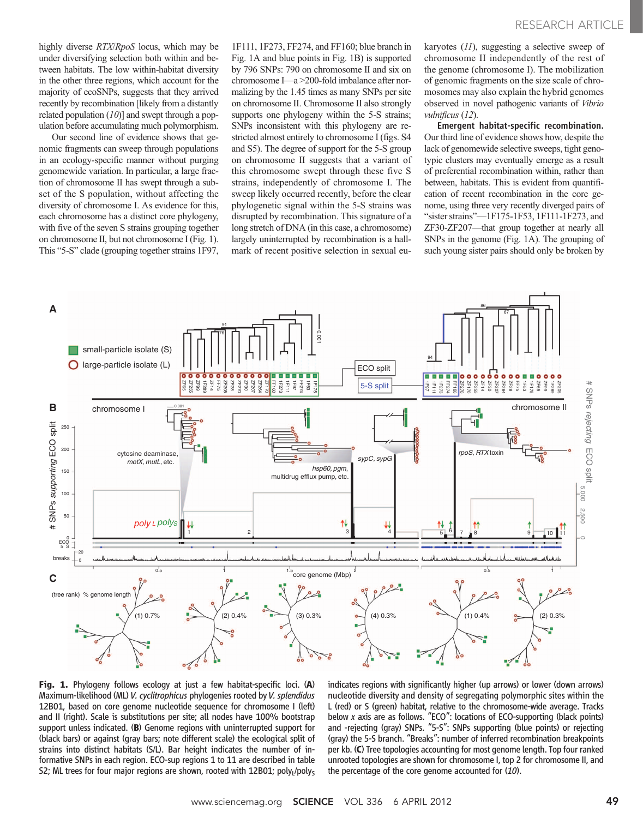highly diverse RTX/RpoS locus, which may be under diversifying selection both within and between habitats. The low within-habitat diversity in the other three regions, which account for the majority of ecoSNPs, suggests that they arrived recently by recombination [likely from a distantly related population  $(10)$ ] and swept through a population before accumulating much polymorphism.

Our second line of evidence shows that genomic fragments can sweep through populations in an ecology-specific manner without purging genomewide variation. In particular, a large fraction of chromosome II has swept through a subset of the S population, without affecting the diversity of chromosome I. As evidence for this, each chromosome has a distinct core phylogeny, with five of the seven S strains grouping together on chromosome II, but not chromosome I (Fig. 1). This "5-S" clade (grouping together strains 1F97,

1F111, 1F273, FF274, and FF160; blue branch in Fig. 1A and blue points in Fig. 1B) is supported by 796 SNPs: 790 on chromosome II and six on chromosome I—a >200-fold imbalance after normalizing by the 1.45 times as many SNPs per site on chromosome II. Chromosome II also strongly supports one phylogeny within the 5-S strains; SNPs inconsistent with this phylogeny are restricted almost entirely to chromosome I (figs. S4 and S5). The degree of support for the 5-S group on chromosome II suggests that a variant of this chromosome swept through these five S strains, independently of chromosome I. The sweep likely occurred recently, before the clear phylogenetic signal within the 5-S strains was disrupted by recombination. This signature of a long stretch of DNA (in this case, a chromosome) largely uninterrupted by recombination is a hallmark of recent positive selection in sexual eukaryotes (11), suggesting a selective sweep of chromosome II independently of the rest of the genome (chromosome I). The mobilization of genomic fragments on the size scale of chromosomes may also explain the hybrid genomes observed in novel pathogenic variants of Vibrio vulnificus (12).

Emergent habitat-specific recombination. Our third line of evidence shows how, despite the lack of genomewide selective sweeps, tight genotypic clusters may eventually emerge as a result of preferential recombination within, rather than between, habitats. This is evident from quantification of recent recombination in the core genome, using three very recently diverged pairs of "sister strains"—1F175-1F53, 1F111-1F273, and ZF30-ZF207—that group together at nearly all SNPs in the genome (Fig. 1A). The grouping of such young sister pairs should only be broken by



Fig. 1. Phylogeny follows ecology at just a few habitat-specific loci. (A) Maximum-likelihood (ML) V. cyclitrophicus phylogenies rooted by V. splendidus 12B01, based on core genome nucleotide sequence for chromosome I (left) and II (right). Scale is substitutions per site; all nodes have 100% bootstrap support unless indicated. (B) Genome regions with uninterrupted support for (black bars) or against (gray bars; note different scale) the ecological split of strains into distinct habitats (S/L). Bar height indicates the number of informative SNPs in each region. ECO-sup regions 1 to 11 are described in table S2; ML trees for four major regions are shown, rooted with 12B01; poly<sub>1</sub>/poly<sub>s</sub> indicates regions with significantly higher (up arrows) or lower (down arrows) nucleotide diversity and density of segregating polymorphic sites within the L (red) or S (green) habitat, relative to the chromosome-wide average. Tracks below  $x$  axis are as follows. "ECO": locations of ECO-supporting (black points) and -rejecting (gray) SNPs. "5-S": SNPs supporting (blue points) or rejecting (gray) the 5-S branch. "Breaks": number of inferred recombination breakpoints per kb. (C) Tree topologies accounting for most genome length. Top four ranked unrooted topologies are shown for chromosome I, top 2 for chromosome II, and the percentage of the core genome accounted for  $(10)$ .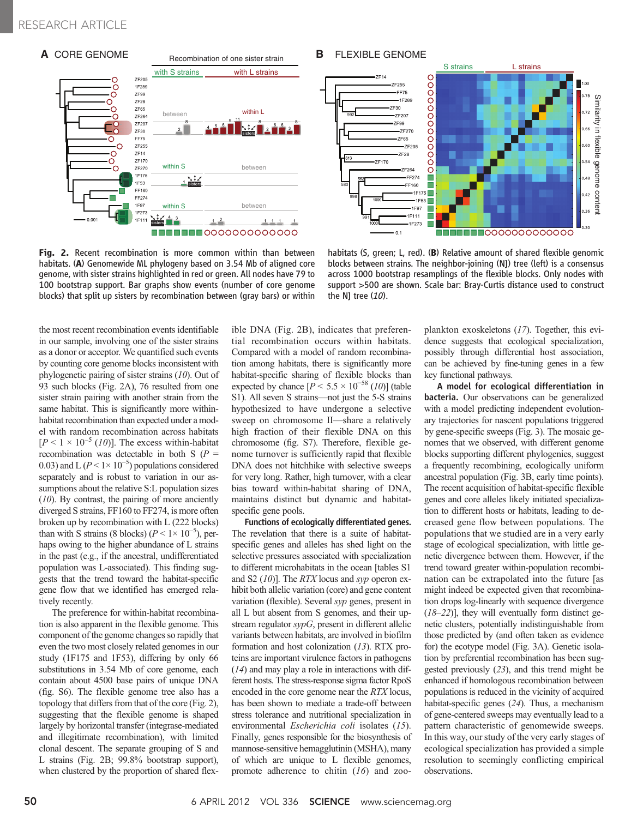#### RESEARCH ARTICLE



Fig. 2. Recent recombination is more common within than between habitats. (A) Genomewide ML phylogeny based on 3.54 Mb of aligned core genome, with sister strains highlighted in red or green. All nodes have 79 to 100 bootstrap support. Bar graphs show events (number of core genome blocks) that split up sisters by recombination between (gray bars) or within

habitats (S, green; L, red). (B) Relative amount of shared flexible genomic blocks between strains. The neighbor-joining (NJ) tree (left) is a consensus across 1000 bootstrap resamplings of the flexible blocks. Only nodes with support >500 are shown. Scale bar: Bray-Curtis distance used to construct the NJ tree  $(10)$ .

the most recent recombination events identifiable in our sample, involving one of the sister strains as a donor or acceptor. We quantified such events by counting core genome blocks inconsistent with phylogenetic pairing of sister strains (10). Out of 93 such blocks (Fig. 2A), 76 resulted from one sister strain pairing with another strain from the same habitat. This is significantly more withinhabitat recombination than expected under a model with random recombination across habitats  $[P \leq 1 \times 10^{-5} (10)]$ . The excess within-habitat recombination was detectable in both S  $(P =$ 0.03) and L ( $P < 1 \times 10^{-5}$ ) populations considered separately and is robust to variation in our assumptions about the relative S:L population sizes  $(10)$ . By contrast, the pairing of more anciently diverged S strains, FF160 to FF274, is more often broken up by recombination with L (222 blocks) than with S strains (8 blocks) ( $P < 1 \times 10^{-5}$ ), perhaps owing to the higher abundance of L strains in the past (e.g., if the ancestral, undifferentiated population was L-associated). This finding suggests that the trend toward the habitat-specific gene flow that we identified has emerged relatively recently.

The preference for within-habitat recombination is also apparent in the flexible genome. This component of the genome changes so rapidly that even the two most closely related genomes in our study (1F175 and 1F53), differing by only 66 substitutions in 3.54 Mb of core genome, each contain about 4500 base pairs of unique DNA (fig. S6). The flexible genome tree also has a topology that differs from that of the core (Fig. 2), suggesting that the flexible genome is shaped largely by horizontal transfer (integrase-mediated and illegitimate recombination), with limited clonal descent. The separate grouping of S and L strains (Fig. 2B; 99.8% bootstrap support), when clustered by the proportion of shared flexible DNA (Fig. 2B), indicates that preferential recombination occurs within habitats. Compared with a model of random recombination among habitats, there is significantly more habitat-specific sharing of flexible blocks than expected by chance  $[P \le 5.5 \times 10^{-58} (10)]$  (table S1). All seven S strains—not just the 5-S strains hypothesized to have undergone a selective sweep on chromosome II—share a relatively high fraction of their flexible DNA on this chromosome (fig. S7). Therefore, flexible genome turnover is sufficiently rapid that flexible DNA does not hitchhike with selective sweeps for very long. Rather, high turnover, with a clear bias toward within-habitat sharing of DNA, maintains distinct but dynamic and habitatspecific gene pools.

Functions of ecologically differentiated genes. The revelation that there is a suite of habitatspecific genes and alleles has shed light on the selective pressures associated with specialization to different microhabitats in the ocean [tables S1 and S2  $(10)$ ]. The RTX locus and syp operon exhibit both allelic variation (core) and gene content variation (flexible). Several syp genes, present in all L but absent from S genomes, and their upstream regulator  $sypG$ , present in different allelic variants between habitats, are involved in biofilm formation and host colonization (13). RTX proteins are important virulence factors in pathogens (14) and may play a role in interactions with different hosts. The stress-response sigma factor RpoS encoded in the core genome near the RTX locus, has been shown to mediate a trade-off between stress tolerance and nutritional specialization in environmental Escherichia coli isolates (15). Finally, genes responsible for the biosynthesis of mannose-sensitive hemagglutinin (MSHA), many of which are unique to L flexible genomes, promote adherence to chitin (16) and zoo-

plankton exoskeletons (17). Together, this evidence suggests that ecological specialization, possibly through differential host association, can be achieved by fine-tuning genes in a few key functional pathways.

A model for ecological differentiation in bacteria. Our observations can be generalized with a model predicting independent evolutionary trajectories for nascent populations triggered by gene-specific sweeps (Fig. 3). The mosaic genomes that we observed, with different genome blocks supporting different phylogenies, suggest a frequently recombining, ecologically uniform ancestral population (Fig. 3B, early time points). The recent acquisition of habitat-specific flexible genes and core alleles likely initiated specialization to different hosts or habitats, leading to decreased gene flow between populations. The populations that we studied are in a very early stage of ecological specialization, with little genetic divergence between them. However, if the trend toward greater within-population recombination can be extrapolated into the future [as might indeed be expected given that recombination drops log-linearly with sequence divergence (18–22)], they will eventually form distinct genetic clusters, potentially indistinguishable from those predicted by (and often taken as evidence for) the ecotype model (Fig. 3A). Genetic isolation by preferential recombination has been suggested previously (23), and this trend might be enhanced if homologous recombination between populations is reduced in the vicinity of acquired habitat-specific genes (24). Thus, a mechanism of gene-centered sweeps may eventually lead to a pattern characteristic of genomewide sweeps. In this way, our study of the very early stages of ecological specialization has provided a simple resolution to seemingly conflicting empirical observations.